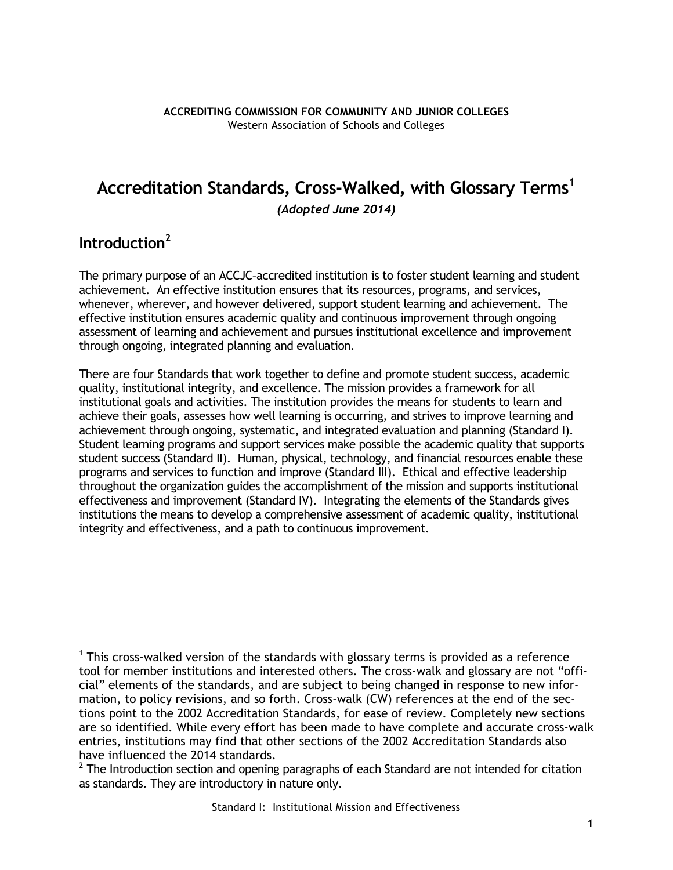# **Accreditation Standards, Cross-Walked, with Glossary Terms<sup>1</sup>**

*(Adopted June 2014)* 

# **Introduction<sup>2</sup>**

The primary purpose of an ACCJC–accredited institution is to foster student learning and student achievement. An effective institution ensures that its resources, programs, and services, whenever, wherever, and however delivered, support student learning and achievement. The effective institution ensures academic quality and continuous improvement through ongoing assessment of learning and achievement and pursues institutional excellence and improvement through ongoing, integrated planning and evaluation.

There are four Standards that work together to define and promote student success, academic quality, institutional integrity, and excellence. The mission provides a framework for all institutional goals and activities. The institution provides the means for students to learn and achieve their goals, assesses how well learning is occurring, and strives to improve learning and achievement through ongoing, systematic, and integrated evaluation and planning (Standard I). Student learning programs and support services make possible the academic quality that supports student success (Standard II). Human, physical, technology, and financial resources enable these programs and services to function and improve (Standard III). Ethical and effective leadership throughout the organization guides the accomplishment of the mission and supports institutional effectiveness and improvement (Standard IV). Integrating the elements of the Standards gives institutions the means to develop a comprehensive assessment of academic quality, institutional integrity and effectiveness, and a path to continuous improvement.

 $\overline{a}$ <sup>1</sup> This cross-walked version of the standards with glossary terms is provided as a reference tool for member institutions and interested others. The cross-walk and glossary are not "official" elements of the standards, and are subject to being changed in response to new information, to policy revisions, and so forth. Cross-walk (CW) references at the end of the sections point to the 2002 Accreditation Standards, for ease of review. Completely new sections are so identified. While every effort has been made to have complete and accurate cross-walk entries, institutions may find that other sections of the 2002 Accreditation Standards also have influenced the 2014 standards.

 $2$  The Introduction section and opening paragraphs of each Standard are not intended for citation as standards. They are introductory in nature only.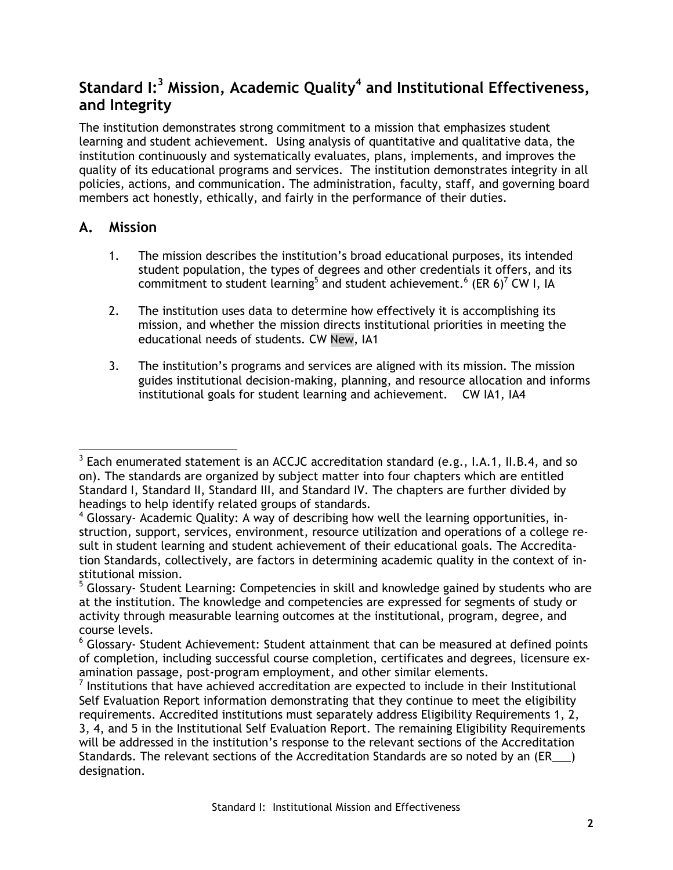# **Standard I:<sup>3</sup> Mission, Academic Quality<sup>4</sup> and Institutional Effectiveness, and Integrity**

The institution demonstrates strong commitment to a mission that emphasizes student learning and student achievement. Using analysis of quantitative and qualitative data, the institution continuously and systematically evaluates, plans, implements, and improves the quality of its educational programs and services. The institution demonstrates integrity in all policies, actions, and communication. The administration, faculty, staff, and governing board members act honestly, ethically, and fairly in the performance of their duties.

#### **A. Mission**

- 1. The mission describes the institution's broad educational purposes, its intended student population, the types of degrees and other credentials it offers, and its commitment to student learning<sup>5</sup> and student achievement.<sup>6</sup> (ER 6)<sup>7</sup> CW I, IA
- 2. The institution uses data to determine how effectively it is accomplishing its mission, and whether the mission directs institutional priorities in meeting the educational needs of students. CW New, IA1
- 3. The institution's programs and services are aligned with its mission. The mission guides institutional decision-making, planning, and resource allocation and informs institutional goals for student learning and achievement. CW IA1, IA4

 $3$  Each enumerated statement is an ACCJC accreditation standard (e.g., I.A.1, II.B.4, and so on). The standards are organized by subject matter into four chapters which are entitled Standard I, Standard II, Standard III, and Standard IV. The chapters are further divided by headings to help identify related groups of standards.

<sup>&</sup>lt;sup>4</sup> Glossary- Academic Quality: A way of describing how well the learning opportunities, instruction, support, services, environment, resource utilization and operations of a college result in student learning and student achievement of their educational goals. The Accreditation Standards, collectively, are factors in determining academic quality in the context of institutional mission.

<sup>&</sup>lt;sup>5</sup> Glossary- Student Learning: Competencies in skill and knowledge gained by students who are at the institution. The knowledge and competencies are expressed for segments of study or activity through measurable learning outcomes at the institutional, program, degree, and course levels.

<sup>&</sup>lt;sup>6</sup> Glossary- Student Achievement: Student attainment that can be measured at defined points of completion, including successful course completion, certificates and degrees, licensure examination passage, post-program employment, and other similar elements.

 $<sup>7</sup>$  Institutions that have achieved accreditation are expected to include in their Institutional</sup> Self Evaluation Report information demonstrating that they continue to meet the eligibility requirements. Accredited institutions must separately address Eligibility Requirements 1, 2, 3, 4, and 5 in the Institutional Self Evaluation Report. The remaining Eligibility Requirements will be addressed in the institution's response to the relevant sections of the Accreditation Standards. The relevant sections of the Accreditation Standards are so noted by an (ER\_\_\_) designation.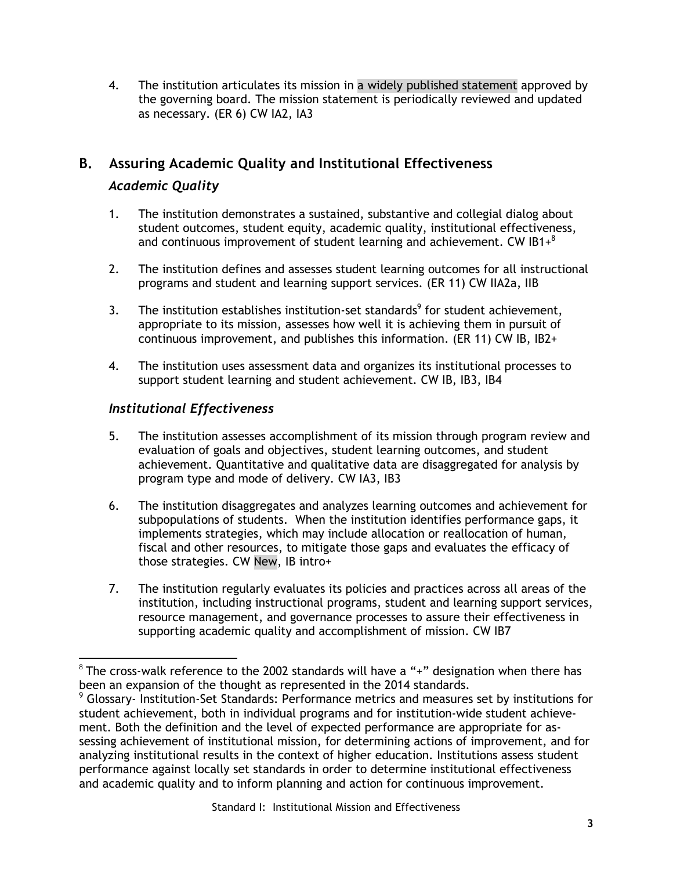4. The institution articulates its mission in a widely published statement approved by the governing board. The mission statement is periodically reviewed and updated as necessary. (ER 6) CW IA2, IA3

## **B. Assuring Academic Quality and Institutional Effectiveness**

#### *Academic Quality*

- 1. The institution demonstrates a sustained, substantive and collegial dialog about student outcomes, student equity, academic quality, institutional effectiveness, and continuous improvement of student learning and achievement. CW IB1 $+$ <sup>8</sup>
- 2. The institution defines and assesses student learning outcomes for all instructional programs and student and learning support services. (ER 11) CW IIA2a, IIB
- 3. The institution establishes institution-set standards<sup>9</sup> for student achievement, appropriate to its mission, assesses how well it is achieving them in pursuit of continuous improvement, and publishes this information. (ER 11) CW IB, IB2+
- 4. The institution uses assessment data and organizes its institutional processes to support student learning and student achievement. CW IB, IB3, IB4

## *Institutional Effectiveness*

- 5. The institution assesses accomplishment of its mission through program review and evaluation of goals and objectives, student learning outcomes, and student achievement. Quantitative and qualitative data are disaggregated for analysis by program type and mode of delivery. CW IA3, IB3
- 6. The institution disaggregates and analyzes learning outcomes and achievement for subpopulations of students. When the institution identifies performance gaps, it implements strategies, which may include allocation or reallocation of human, fiscal and other resources, to mitigate those gaps and evaluates the efficacy of those strategies. CW New, IB intro+
- 7. The institution regularly evaluates its policies and practices across all areas of the institution, including instructional programs, student and learning support services, resource management, and governance processes to assure their effectiveness in supporting academic quality and accomplishment of mission. CW IB7

 $^8$  The cross-walk reference to the 2002 standards will have a "+" designation when there has been an expansion of the thought as represented in the 2014 standards.

<sup>&</sup>lt;sup>9</sup> Glossary- Institution-Set Standards: Performance metrics and measures set by institutions for student achievement, both in individual programs and for institution-wide student achievement. Both the definition and the level of expected performance are appropriate for assessing achievement of institutional mission, for determining actions of improvement, and for analyzing institutional results in the context of higher education. Institutions assess student performance against locally set standards in order to determine institutional effectiveness and academic quality and to inform planning and action for continuous improvement.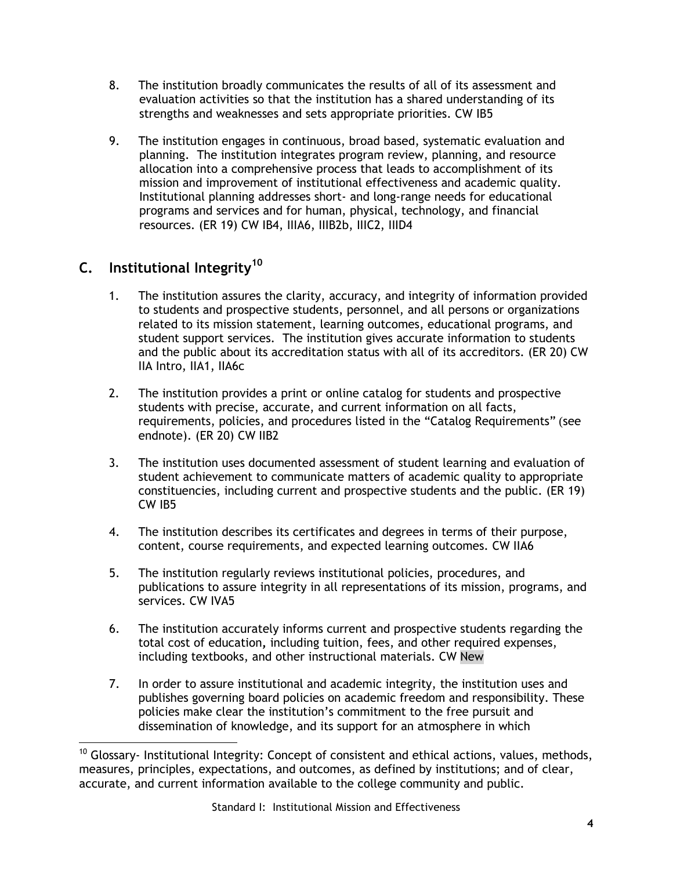- 8. The institution broadly communicates the results of all of its assessment and evaluation activities so that the institution has a shared understanding of its strengths and weaknesses and sets appropriate priorities. CW IB5
- 9. The institution engages in continuous, broad based, systematic evaluation and planning. The institution integrates program review, planning, and resource allocation into a comprehensive process that leads to accomplishment of its mission and improvement of institutional effectiveness and academic quality. Institutional planning addresses short- and long-range needs for educational programs and services and for human, physical, technology, and financial resources. (ER 19) CW IB4, IIIA6, IIIB2b, IIIC2, IIID4

## **C. Institutional Integrity<sup>10</sup>**

- 1. The institution assures the clarity, accuracy, and integrity of information provided to students and prospective students, personnel, and all persons or organizations related to its mission statement, learning outcomes, educational programs, and student support services. The institution gives accurate information to students and the public about its accreditation status with all of its accreditors. (ER 20) CW IIA Intro, IIA1, IIA6c
- 2. The institution provides a print or online catalog for students and prospective students with precise, accurate, and current information on all facts, requirements, policies, and procedures listed in the "Catalog Requirements" (see endnote). (ER 20) CW IIB2
- 3. The institution uses documented assessment of student learning and evaluation of student achievement to communicate matters of academic quality to appropriate constituencies, including current and prospective students and the public. (ER 19) CW IB5
- 4. The institution describes its certificates and degrees in terms of their purpose, content, course requirements, and expected learning outcomes. CW IIA6
- 5. The institution regularly reviews institutional policies, procedures, and publications to assure integrity in all representations of its mission, programs, and services. CW IVA5
- 6. The institution accurately informs current and prospective students regarding the total cost of education**,** including tuition, fees, and other required expenses, including textbooks, and other instructional materials. CW New
- 7. In order to assure institutional and academic integrity, the institution uses and publishes governing board policies on academic freedom and responsibility. These policies make clear the institution's commitment to the free pursuit and dissemination of knowledge, and its support for an atmosphere in which

 $10$  Glossary- Institutional Integrity: Concept of consistent and ethical actions, values, methods, measures, principles, expectations, and outcomes, as defined by institutions; and of clear, accurate, and current information available to the college community and public.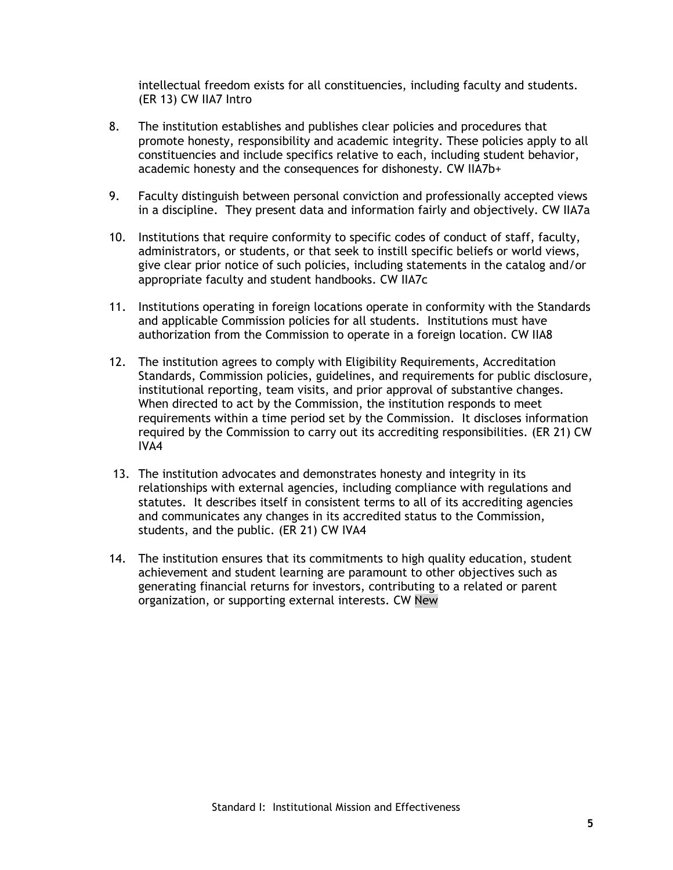intellectual freedom exists for all constituencies, including faculty and students. (ER 13) CW IIA7 Intro

- 8. The institution establishes and publishes clear policies and procedures that promote honesty, responsibility and academic integrity. These policies apply to all constituencies and include specifics relative to each, including student behavior, academic honesty and the consequences for dishonesty. CW IIA7b+
- 9. Faculty distinguish between personal conviction and professionally accepted views in a discipline. They present data and information fairly and objectively. CW IIA7a
- 10. Institutions that require conformity to specific codes of conduct of staff, faculty, administrators, or students, or that seek to instill specific beliefs or world views, give clear prior notice of such policies, including statements in the catalog and/or appropriate faculty and student handbooks. CW IIA7c
- 11. Institutions operating in foreign locations operate in conformity with the Standards and applicable Commission policies for all students. Institutions must have authorization from the Commission to operate in a foreign location. CW IIA8
- 12. The institution agrees to comply with Eligibility Requirements, Accreditation Standards, Commission policies, guidelines, and requirements for public disclosure, institutional reporting, team visits, and prior approval of substantive changes. When directed to act by the Commission, the institution responds to meet requirements within a time period set by the Commission. It discloses information required by the Commission to carry out its accrediting responsibilities. (ER 21) CW IVA4
- 13. The institution advocates and demonstrates honesty and integrity in its relationships with external agencies, including compliance with regulations and statutes. It describes itself in consistent terms to all of its accrediting agencies and communicates any changes in its accredited status to the Commission, students, and the public. (ER 21) CW IVA4
- 14. The institution ensures that its commitments to high quality education, student achievement and student learning are paramount to other objectives such as generating financial returns for investors, contributing to a related or parent organization, or supporting external interests. CW New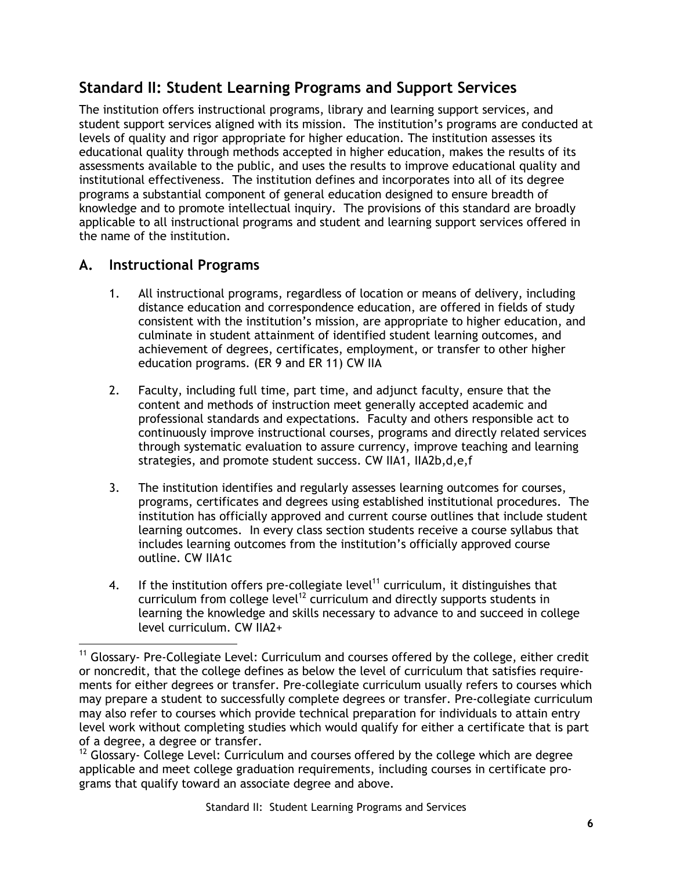# **Standard II: Student Learning Programs and Support Services**

The institution offers instructional programs, library and learning support services, and student support services aligned with its mission. The institution's programs are conducted at levels of quality and rigor appropriate for higher education. The institution assesses its educational quality through methods accepted in higher education, makes the results of its assessments available to the public, and uses the results to improve educational quality and institutional effectiveness. The institution defines and incorporates into all of its degree programs a substantial component of general education designed to ensure breadth of knowledge and to promote intellectual inquiry. The provisions of this standard are broadly applicable to all instructional programs and student and learning support services offered in the name of the institution.

## **A. Instructional Programs**

- 1. All instructional programs, regardless of location or means of delivery, including distance education and correspondence education, are offered in fields of study consistent with the institution's mission, are appropriate to higher education, and culminate in student attainment of identified student learning outcomes, and achievement of degrees, certificates, employment, or transfer to other higher education programs. (ER 9 and ER 11) CW IIA
- 2. Faculty, including full time, part time, and adjunct faculty, ensure that the content and methods of instruction meet generally accepted academic and professional standards and expectations. Faculty and others responsible act to continuously improve instructional courses, programs and directly related services through systematic evaluation to assure currency, improve teaching and learning strategies, and promote student success. CW IIA1, IIA2b,d,e,f
- 3. The institution identifies and regularly assesses learning outcomes for courses, programs, certificates and degrees using established institutional procedures. The institution has officially approved and current course outlines that include student learning outcomes. In every class section students receive a course syllabus that includes learning outcomes from the institution's officially approved course outline. CW IIA1c
- 4. If the institution offers pre-collegiate level<sup>11</sup> curriculum, it distinguishes that curriculum from college level<sup>12</sup> curriculum and directly supports students in learning the knowledge and skills necessary to advance to and succeed in college level curriculum. CW IIA2+

<sup>&</sup>lt;sup>11</sup> Glossary- Pre-Collegiate Level: Curriculum and courses offered by the college, either credit or noncredit, that the college defines as below the level of curriculum that satisfies requirements for either degrees or transfer. Pre-collegiate curriculum usually refers to courses which may prepare a student to successfully complete degrees or transfer. Pre-collegiate curriculum may also refer to courses which provide technical preparation for individuals to attain entry level work without completing studies which would qualify for either a certificate that is part of a degree, a degree or transfer.

 $12$  Glossary- College Level: Curriculum and courses offered by the college which are degree applicable and meet college graduation requirements, including courses in certificate programs that qualify toward an associate degree and above.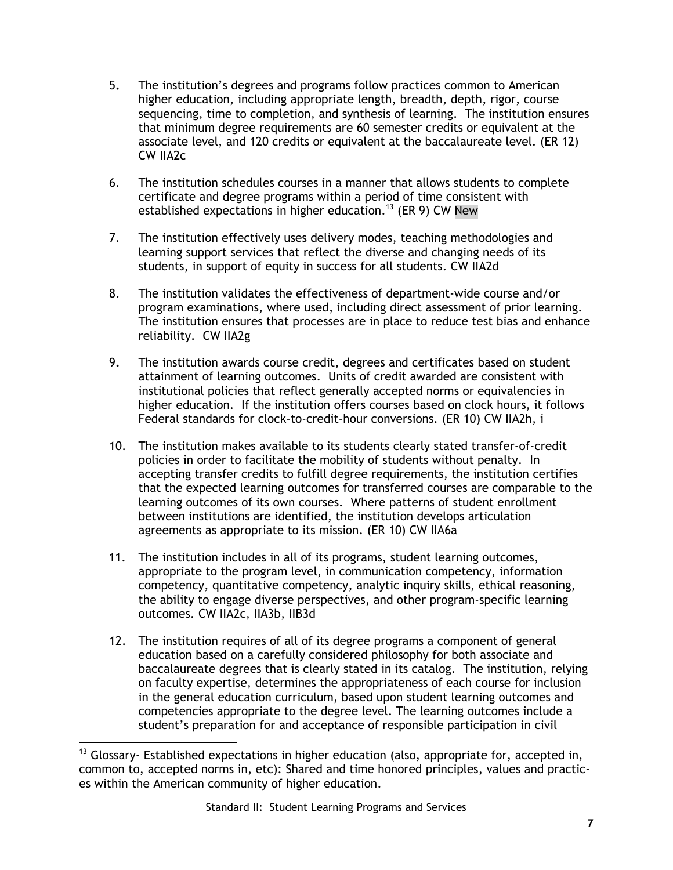- 5**.** The institution's degrees and programs follow practices common to American higher education, including appropriate length, breadth, depth, rigor, course sequencing, time to completion, and synthesis of learning. The institution ensures that minimum degree requirements are 60 semester credits or equivalent at the associate level, and 120 credits or equivalent at the baccalaureate level. (ER 12) CW IIA2c
- 6. The institution schedules courses in a manner that allows students to complete certificate and degree programs within a period of time consistent with established expectations in higher education.<sup>13</sup> (ER 9) CW New
- 7. The institution effectively uses delivery modes, teaching methodologies and learning support services that reflect the diverse and changing needs of its students, in support of equity in success for all students. CW IIA2d
- 8. The institution validates the effectiveness of department-wide course and/or program examinations, where used, including direct assessment of prior learning. The institution ensures that processes are in place to reduce test bias and enhance reliability.CW IIA2g
- 9**.** The institution awards course credit, degrees and certificates based on student attainment of learning outcomes. Units of credit awarded are consistent with institutional policies that reflect generally accepted norms or equivalencies in higher education. If the institution offers courses based on clock hours, it follows Federal standards for clock-to-credit-hour conversions. (ER 10) CW IIA2h, i
- 10. The institution makes available to its students clearly stated transfer-of-credit policies in order to facilitate the mobility of students without penalty. In accepting transfer credits to fulfill degree requirements, the institution certifies that the expected learning outcomes for transferred courses are comparable to the learning outcomes of its own courses. Where patterns of student enrollment between institutions are identified, the institution develops articulation agreements as appropriate to its mission. (ER 10) CW IIA6a
- 11. The institution includes in all of its programs, student learning outcomes, appropriate to the program level, in communication competency, information competency, quantitative competency, analytic inquiry skills, ethical reasoning, the ability to engage diverse perspectives, and other program-specific learning outcomes. CW IIA2c, IIA3b, IIB3d
- 12. The institution requires of all of its degree programs a component of general education based on a carefully considered philosophy for both associate and baccalaureate degrees that is clearly stated in its catalog. The institution, relying on faculty expertise, determines the appropriateness of each course for inclusion in the general education curriculum, based upon student learning outcomes and competencies appropriate to the degree level. The learning outcomes include a student's preparation for and acceptance of responsible participation in civil

 $13$  Glossary- Established expectations in higher education (also, appropriate for, accepted in, common to, accepted norms in, etc): Shared and time honored principles, values and practices within the American community of higher education.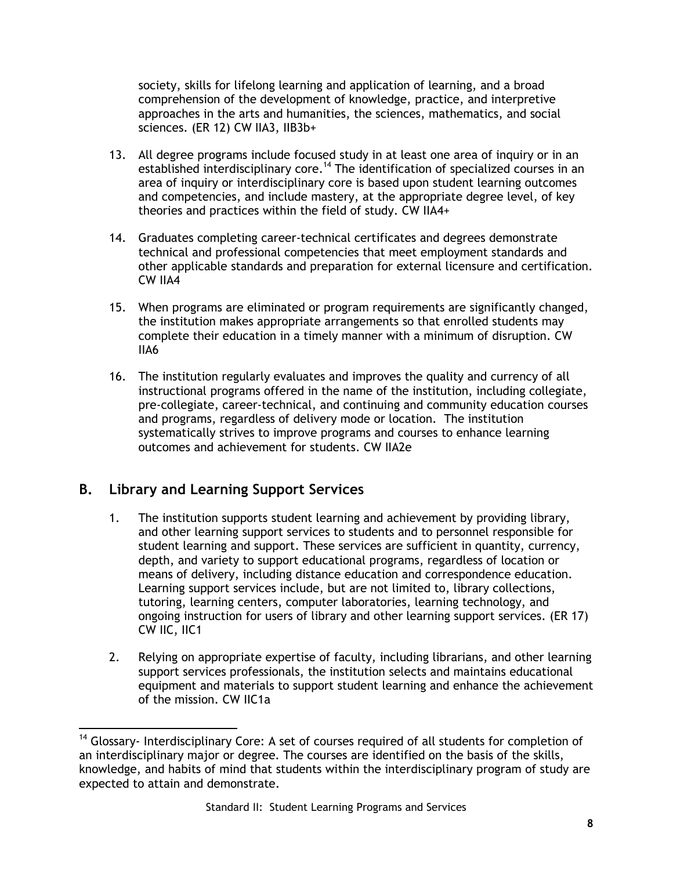society, skills for lifelong learning and application of learning, and a broad comprehension of the development of knowledge, practice, and interpretive approaches in the arts and humanities, the sciences, mathematics, and social sciences. (ER 12) CW IIA3, IIB3b+

- 13. All degree programs include focused study in at least one area of inquiry or in an established interdisciplinary core.<sup>14</sup> The identification of specialized courses in an area of inquiry or interdisciplinary core is based upon student learning outcomes and competencies, and include mastery, at the appropriate degree level, of key theories and practices within the field of study. CW IIA4+
- 14. Graduates completing career-technical certificates and degrees demonstrate technical and professional competencies that meet employment standards and other applicable standards and preparation for external licensure and certification. CW IIA4
- 15. When programs are eliminated or program requirements are significantly changed, the institution makes appropriate arrangements so that enrolled students may complete their education in a timely manner with a minimum of disruption. CW IIA6
- 16. The institution regularly evaluates and improves the quality and currency of all instructional programs offered in the name of the institution, including collegiate, pre-collegiate, career-technical, and continuing and community education courses and programs, regardless of delivery mode or location. The institution systematically strives to improve programs and courses to enhance learning outcomes and achievement for students. CW IIA2e

## **B. Library and Learning Support Services**

- 1. The institution supports student learning and achievement by providing library, and other learning support services to students and to personnel responsible for student learning and support. These services are sufficient in quantity, currency, depth, and variety to support educational programs, regardless of location or means of delivery, including distance education and correspondence education. Learning support services include, but are not limited to, library collections, tutoring, learning centers, computer laboratories, learning technology, and ongoing instruction for users of library and other learning support services. (ER 17) CW IIC, IIC1
- 2. Relying on appropriate expertise of faculty, including librarians, and other learning support services professionals, the institution selects and maintains educational equipment and materials to support student learning and enhance the achievement of the mission. CW IIC1a

 $\overline{a}$  $14$  Glossary- Interdisciplinary Core: A set of courses required of all students for completion of an interdisciplinary major or degree. The courses are identified on the basis of the skills, knowledge, and habits of mind that students within the interdisciplinary program of study are expected to attain and demonstrate.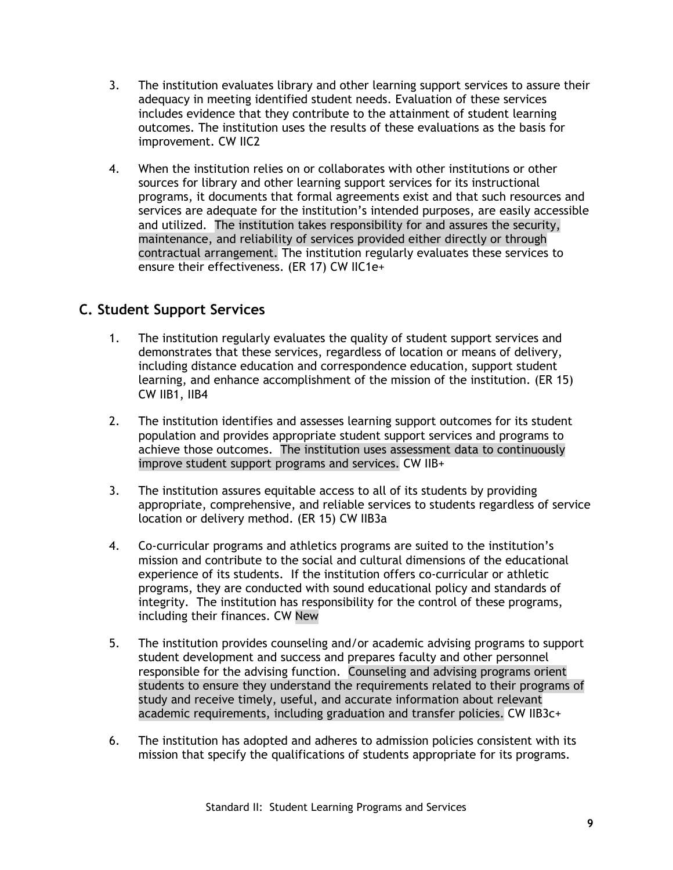- 3. The institution evaluates library and other learning support services to assure their adequacy in meeting identified student needs. Evaluation of these services includes evidence that they contribute to the attainment of student learning outcomes. The institution uses the results of these evaluations as the basis for improvement. CW IIC2
- 4. When the institution relies on or collaborates with other institutions or other sources for library and other learning support services for its instructional programs, it documents that formal agreements exist and that such resources and services are adequate for the institution's intended purposes, are easily accessible and utilized. The institution takes responsibility for and assures the security, maintenance, and reliability of services provided either directly or through contractual arrangement. The institution regularly evaluates these services to ensure their effectiveness. (ER 17) CW IIC1e+

## **C. Student Support Services**

- 1. The institution regularly evaluates the quality of student support services and demonstrates that these services, regardless of location or means of delivery, including distance education and correspondence education, support student learning, and enhance accomplishment of the mission of the institution. (ER 15) CW IIB1, IIB4
- 2. The institution identifies and assesses learning support outcomes for its student population and provides appropriate student support services and programs to achieve those outcomes. The institution uses assessment data to continuously improve student support programs and services. CW IIB+
- 3. The institution assures equitable access to all of its students by providing appropriate, comprehensive, and reliable services to students regardless of service location or delivery method. (ER 15) CW IIB3a
- 4. Co-curricular programs and athletics programs are suited to the institution's mission and contribute to the social and cultural dimensions of the educational experience of its students. If the institution offers co-curricular or athletic programs, they are conducted with sound educational policy and standards of integrity. The institution has responsibility for the control of these programs, including their finances. CW New
- 5. The institution provides counseling and/or academic advising programs to support student development and success and prepares faculty and other personnel responsible for the advising function. Counseling and advising programs orient students to ensure they understand the requirements related to their programs of study and receive timely, useful, and accurate information about relevant academic requirements, including graduation and transfer policies. CW IIB3c+
- 6. The institution has adopted and adheres to admission policies consistent with its mission that specify the qualifications of students appropriate for its programs.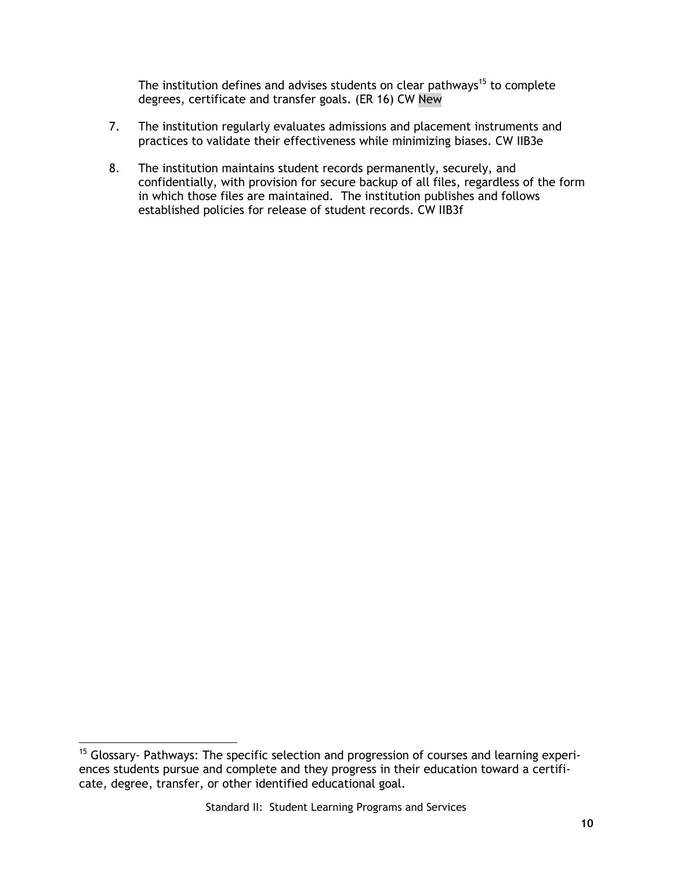The institution defines and advises students on clear pathways<sup>15</sup> to complete degrees, certificate and transfer goals. (ER 16) CW New

- 7. The institution regularly evaluates admissions and placement instruments and practices to validate their effectiveness while minimizing biases. CW IIB3e
- 8. The institution maintains student records permanently, securely, and confidentially, with provision for secure backup of all files, regardless of the form in which those files are maintained. The institution publishes and follows established policies for release of student records. CW IIB3f

 $15$  Glossary- Pathways: The specific selection and progression of courses and learning experiences students pursue and complete and they progress in their education toward a certificate, degree, transfer, or other identified educational goal.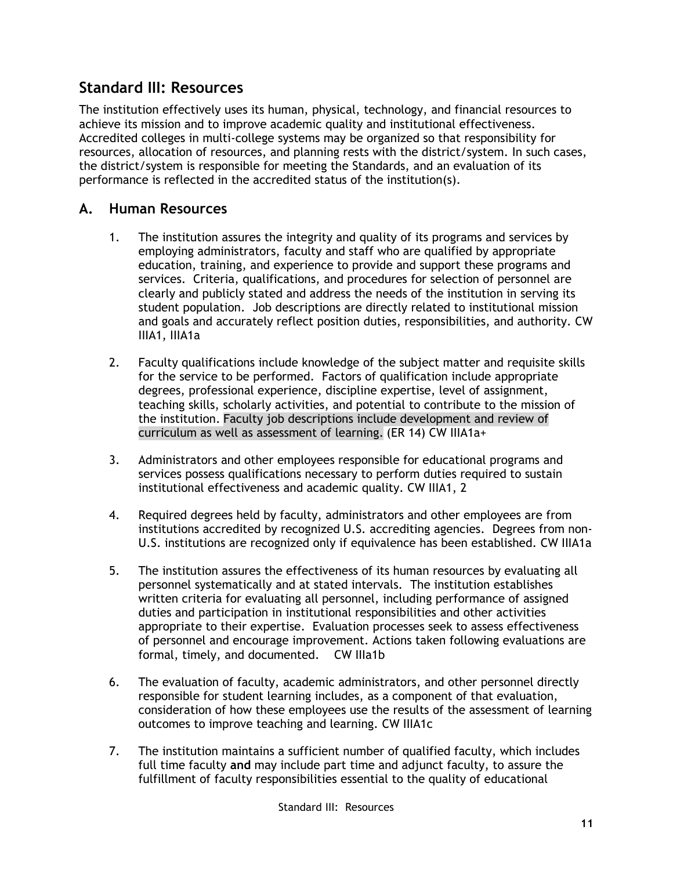## **Standard III: Resources**

The institution effectively uses its human, physical, technology, and financial resources to achieve its mission and to improve academic quality and institutional effectiveness. Accredited colleges in multi-college systems may be organized so that responsibility for resources, allocation of resources, and planning rests with the district/system. In such cases, the district/system is responsible for meeting the Standards, and an evaluation of its performance is reflected in the accredited status of the institution(s).

## **A. Human Resources**

- 1. The institution assures the integrity and quality of its programs and services by employing administrators, faculty and staff who are qualified by appropriate education, training, and experience to provide and support these programs and services. Criteria, qualifications, and procedures for selection of personnel are clearly and publicly stated and address the needs of the institution in serving its student population. Job descriptions are directly related to institutional mission and goals and accurately reflect position duties, responsibilities, and authority. CW IIIA1, IIIA1a
- 2. Faculty qualifications include knowledge of the subject matter and requisite skills for the service to be performed. Factors of qualification include appropriate degrees, professional experience, discipline expertise, level of assignment, teaching skills, scholarly activities, and potential to contribute to the mission of the institution. Faculty job descriptions include development and review of curriculum as well as assessment of learning. (ER 14) CW IIIA1a+
- 3. Administrators and other employees responsible for educational programs and services possess qualifications necessary to perform duties required to sustain institutional effectiveness and academic quality. CW IIIA1, 2
- 4. Required degrees held by faculty, administrators and other employees are from institutions accredited by recognized U.S. accrediting agencies. Degrees from non-U.S. institutions are recognized only if equivalence has been established. CW IIIA1a
- 5. The institution assures the effectiveness of its human resources by evaluating all personnel systematically and at stated intervals. The institution establishes written criteria for evaluating all personnel, including performance of assigned duties and participation in institutional responsibilities and other activities appropriate to their expertise. Evaluation processes seek to assess effectiveness of personnel and encourage improvement. Actions taken following evaluations are formal, timely, and documented. CW IIIa1b
- 6. The evaluation of faculty, academic administrators, and other personnel directly responsible for student learning includes, as a component of that evaluation, consideration of how these employees use the results of the assessment of learning outcomes to improve teaching and learning. CW IIIA1c
- 7. The institution maintains a sufficient number of qualified faculty, which includes full time faculty **and** may include part time and adjunct faculty, to assure the fulfillment of faculty responsibilities essential to the quality of educational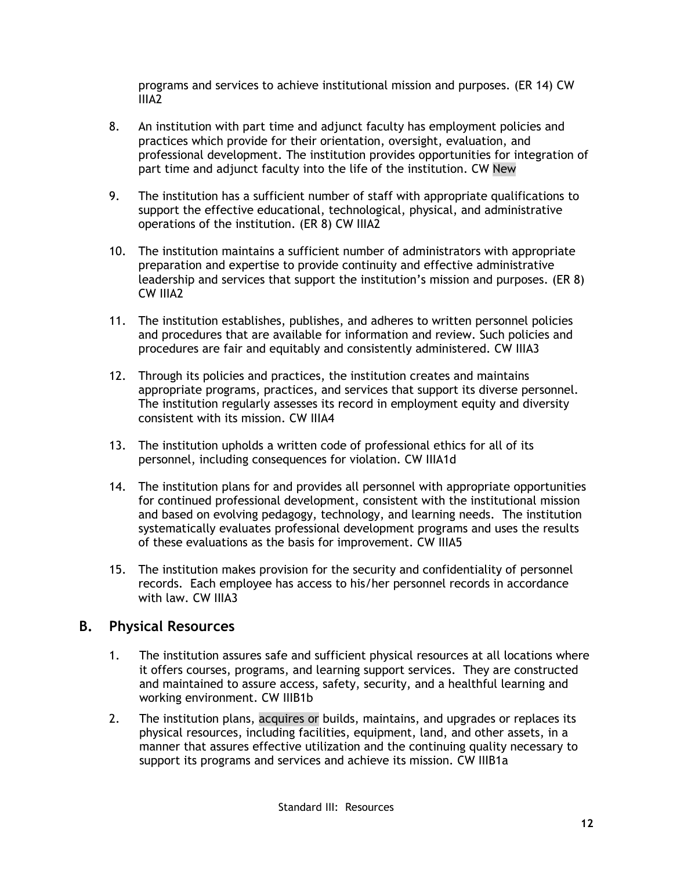programs and services to achieve institutional mission and purposes. (ER 14) CW IIIA2

- 8. An institution with part time and adjunct faculty has employment policies and practices which provide for their orientation, oversight, evaluation, and professional development. The institution provides opportunities for integration of part time and adjunct faculty into the life of the institution. CW New
- 9. The institution has a sufficient number of staff with appropriate qualifications to support the effective educational, technological, physical, and administrative operations of the institution. (ER 8) CW IIIA2
- 10. The institution maintains a sufficient number of administrators with appropriate preparation and expertise to provide continuity and effective administrative leadership and services that support the institution's mission and purposes. (ER 8) CW IIIA2
- 11. The institution establishes, publishes, and adheres to written personnel policies and procedures that are available for information and review. Such policies and procedures are fair and equitably and consistently administered. CW IIIA3
- 12. Through its policies and practices, the institution creates and maintains appropriate programs, practices, and services that support its diverse personnel. The institution regularly assesses its record in employment equity and diversity consistent with its mission. CW IIIA4
- 13. The institution upholds a written code of professional ethics for all of its personnel, including consequences for violation. CW IIIA1d
- 14. The institution plans for and provides all personnel with appropriate opportunities for continued professional development, consistent with the institutional mission and based on evolving pedagogy, technology, and learning needs. The institution systematically evaluates professional development programs and uses the results of these evaluations as the basis for improvement. CW IIIA5
- 15. The institution makes provision for the security and confidentiality of personnel records. Each employee has access to his/her personnel records in accordance with law. CW IIIA3

#### **B. Physical Resources**

- 1. The institution assures safe and sufficient physical resources at all locations where it offers courses, programs, and learning support services. They are constructed and maintained to assure access, safety, security, and a healthful learning and working environment. CW IIIB1b
- 2. The institution plans, acquires or builds, maintains, and upgrades or replaces its physical resources, including facilities, equipment, land, and other assets, in a manner that assures effective utilization and the continuing quality necessary to support its programs and services and achieve its mission. CW IIIB1a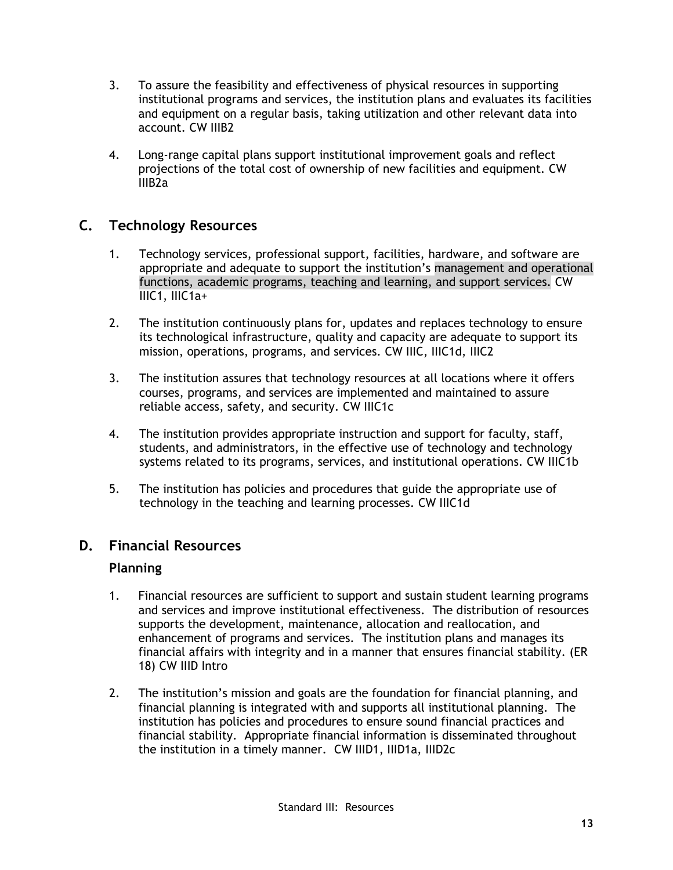- 3. To assure the feasibility and effectiveness of physical resources in supporting institutional programs and services, the institution plans and evaluates its facilities and equipment on a regular basis, taking utilization and other relevant data into account. CW IIIB2
- 4. Long-range capital plans support institutional improvement goals and reflect projections of the total cost of ownership of new facilities and equipment. CW IIIB2a

## **C. Technology Resources**

- 1. Technology services, professional support, facilities, hardware, and software are appropriate and adequate to support the institution's management and operational functions, academic programs, teaching and learning, and support services. CW IIIC1, IIIC1a+
- 2. The institution continuously plans for, updates and replaces technology to ensure its technological infrastructure, quality and capacity are adequate to support its mission, operations, programs, and services. CW IIIC, IIIC1d, IIIC2
- 3. The institution assures that technology resources at all locations where it offers courses, programs, and services are implemented and maintained to assure reliable access, safety, and security. CW IIIC1c
- 4. The institution provides appropriate instruction and support for faculty, staff, students, and administrators, in the effective use of technology and technology systems related to its programs, services, and institutional operations. CW IIIC1b
- 5. The institution has policies and procedures that guide the appropriate use of technology in the teaching and learning processes. CW IIIC1d

## **D. Financial Resources**

#### **Planning**

- 1. Financial resources are sufficient to support and sustain student learning programs and services and improve institutional effectiveness. The distribution of resources supports the development, maintenance, allocation and reallocation, and enhancement of programs and services. The institution plans and manages its financial affairs with integrity and in a manner that ensures financial stability. (ER 18) CW IIID Intro
- 2. The institution's mission and goals are the foundation for financial planning, and financial planning is integrated with and supports all institutional planning. The institution has policies and procedures to ensure sound financial practices and financial stability. Appropriate financial information is disseminated throughout the institution in a timely manner. CW IIID1, IIID1a, IIID2c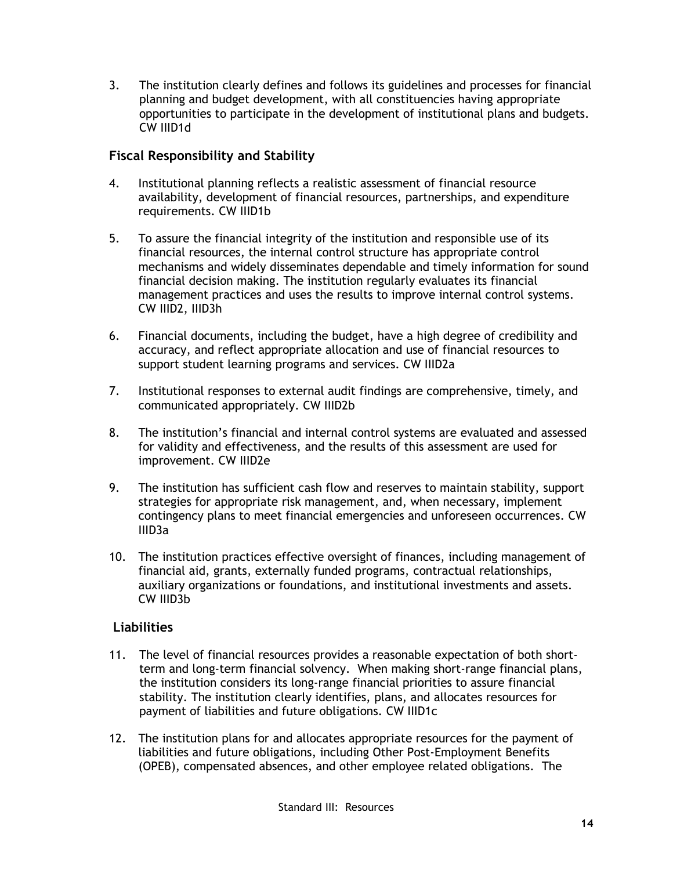3. The institution clearly defines and follows its guidelines and processes for financial planning and budget development, with all constituencies having appropriate opportunities to participate in the development of institutional plans and budgets. CW IIID1d

#### **Fiscal Responsibility and Stability**

- 4. Institutional planning reflects a realistic assessment of financial resource availability, development of financial resources, partnerships, and expenditure requirements. CW IIID1b
- 5. To assure the financial integrity of the institution and responsible use of its financial resources, the internal control structure has appropriate control mechanisms and widely disseminates dependable and timely information for sound financial decision making. The institution regularly evaluates its financial management practices and uses the results to improve internal control systems. CW IIID2, IIID3h
- 6. Financial documents, including the budget, have a high degree of credibility and accuracy, and reflect appropriate allocation and use of financial resources to support student learning programs and services. CW IIID2a
- 7. Institutional responses to external audit findings are comprehensive, timely, and communicated appropriately. CW IIID2b
- 8. The institution's financial and internal control systems are evaluated and assessed for validity and effectiveness, and the results of this assessment are used for improvement. CW IIID2e
- 9. The institution has sufficient cash flow and reserves to maintain stability, support strategies for appropriate risk management, and, when necessary, implement contingency plans to meet financial emergencies and unforeseen occurrences. CW IIID3a
- 10. The institution practices effective oversight of finances, including management of financial aid, grants, externally funded programs, contractual relationships, auxiliary organizations or foundations, and institutional investments and assets. CW IIID3b

#### **Liabilities**

- 11. The level of financial resources provides a reasonable expectation of both shortterm and long-term financial solvency. When making short-range financial plans, the institution considers its long-range financial priorities to assure financial stability. The institution clearly identifies, plans, and allocates resources for payment of liabilities and future obligations. CW IIID1c
- 12. The institution plans for and allocates appropriate resources for the payment of liabilities and future obligations, including Other Post-Employment Benefits (OPEB), compensated absences, and other employee related obligations. The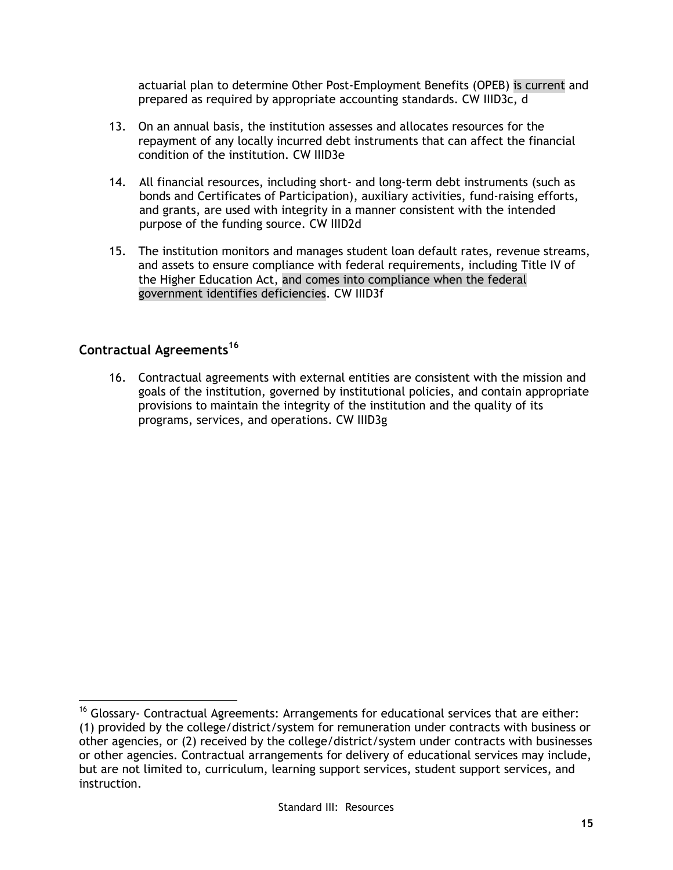actuarial plan to determine Other Post-Employment Benefits (OPEB) is current and prepared as required by appropriate accounting standards. CW IIID3c, d

- 13. On an annual basis, the institution assesses and allocates resources for the repayment of any locally incurred debt instruments that can affect the financial condition of the institution. CW IIID3e
- 14. All financial resources, including short- and long-term debt instruments (such as bonds and Certificates of Participation), auxiliary activities, fund-raising efforts, and grants, are used with integrity in a manner consistent with the intended purpose of the funding source. CW IIID2d
- 15. The institution monitors and manages student loan default rates, revenue streams, and assets to ensure compliance with federal requirements, including Title IV of the Higher Education Act, and comes into compliance when the federal government identifies deficiencies. CW IIID3f

#### **Contractual Agreements<sup>16</sup>**

 $\overline{a}$ 

16. Contractual agreements with external entities are consistent with the mission and goals of the institution, governed by institutional policies, and contain appropriate provisions to maintain the integrity of the institution and the quality of its programs, services, and operations. CW IIID3g

 $16$  Glossary- Contractual Agreements: Arrangements for educational services that are either: (1) provided by the college/district/system for remuneration under contracts with business or other agencies, or (2) received by the college/district/system under contracts with businesses or other agencies. Contractual arrangements for delivery of educational services may include, but are not limited to, curriculum, learning support services, student support services, and instruction.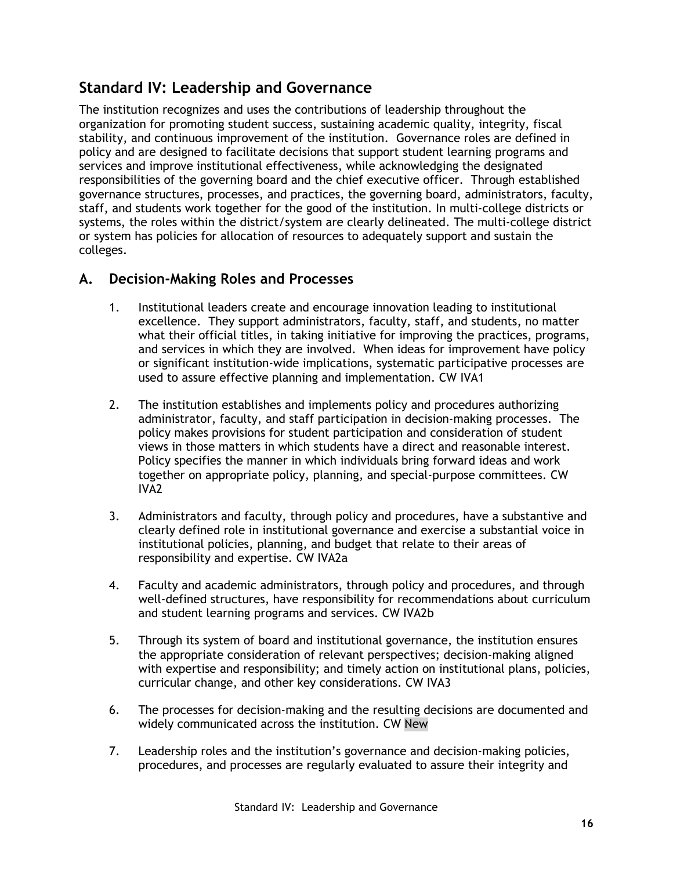## **Standard IV: Leadership and Governance**

The institution recognizes and uses the contributions of leadership throughout the organization for promoting student success, sustaining academic quality, integrity, fiscal stability, and continuous improvement of the institution. Governance roles are defined in policy and are designed to facilitate decisions that support student learning programs and services and improve institutional effectiveness, while acknowledging the designated responsibilities of the governing board and the chief executive officer. Through established governance structures, processes, and practices, the governing board, administrators, faculty, staff, and students work together for the good of the institution. In multi-college districts or systems, the roles within the district/system are clearly delineated. The multi-college district or system has policies for allocation of resources to adequately support and sustain the colleges.

## **A. Decision-Making Roles and Processes**

- 1. Institutional leaders create and encourage innovation leading to institutional excellence. They support administrators, faculty, staff, and students, no matter what their official titles, in taking initiative for improving the practices, programs, and services in which they are involved. When ideas for improvement have policy or significant institution-wide implications, systematic participative processes are used to assure effective planning and implementation. CW IVA1
- 2. The institution establishes and implements policy and procedures authorizing administrator, faculty, and staff participation in decision-making processes. The policy makes provisions for student participation and consideration of student views in those matters in which students have a direct and reasonable interest. Policy specifies the manner in which individuals bring forward ideas and work together on appropriate policy, planning, and special-purpose committees. CW IVA2
- 3. Administrators and faculty, through policy and procedures, have a substantive and clearly defined role in institutional governance and exercise a substantial voice in institutional policies, planning, and budget that relate to their areas of responsibility and expertise. CW IVA2a
- 4. Faculty and academic administrators, through policy and procedures, and through well-defined structures, have responsibility for recommendations about curriculum and student learning programs and services. CW IVA2b
- 5. Through its system of board and institutional governance, the institution ensures the appropriate consideration of relevant perspectives; decision-making aligned with expertise and responsibility; and timely action on institutional plans, policies, curricular change, and other key considerations. CW IVA3
- 6. The processes for decision-making and the resulting decisions are documented and widely communicated across the institution. CW New
- 7. Leadership roles and the institution's governance and decision-making policies, procedures, and processes are regularly evaluated to assure their integrity and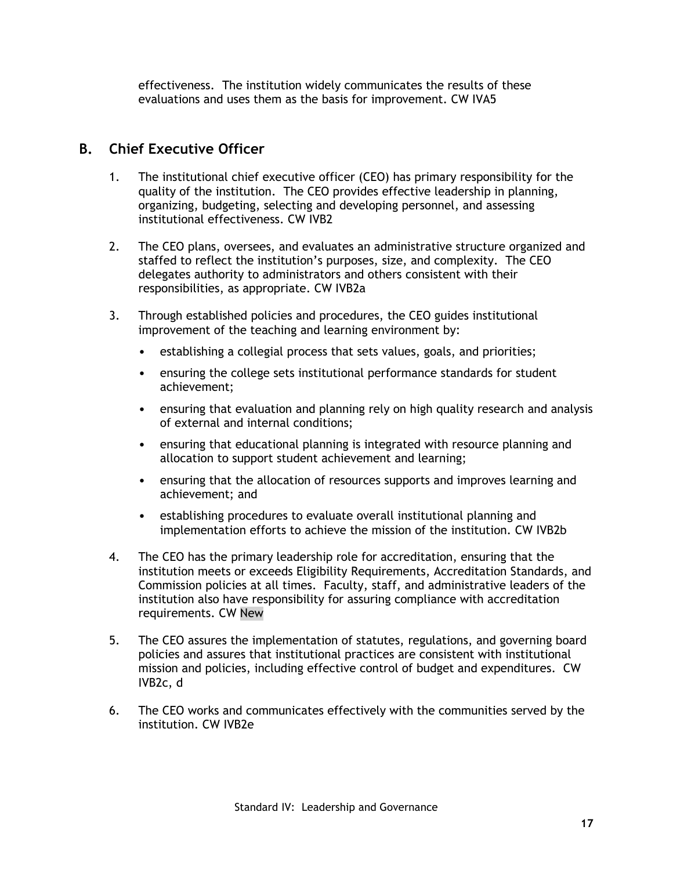effectiveness. The institution widely communicates the results of these evaluations and uses them as the basis for improvement. CW IVA5

## **B. Chief Executive Officer**

- 1. The institutional chief executive officer (CEO) has primary responsibility for the quality of the institution. The CEO provides effective leadership in planning, organizing, budgeting, selecting and developing personnel, and assessing institutional effectiveness. CW IVB2
- 2. The CEO plans, oversees, and evaluates an administrative structure organized and staffed to reflect the institution's purposes, size, and complexity. The CEO delegates authority to administrators and others consistent with their responsibilities, as appropriate. CW IVB2a
- 3. Through established policies and procedures, the CEO guides institutional improvement of the teaching and learning environment by:
	- establishing a collegial process that sets values, goals, and priorities;
	- ensuring the college sets institutional performance standards for student achievement;
	- ensuring that evaluation and planning rely on high quality research and analysis of external and internal conditions;
	- ensuring that educational planning is integrated with resource planning and allocation to support student achievement and learning;
	- ensuring that the allocation of resources supports and improves learning and achievement; and
	- establishing procedures to evaluate overall institutional planning and implementation efforts to achieve the mission of the institution. CW IVB2b
- 4. The CEO has the primary leadership role for accreditation, ensuring that the institution meets or exceeds Eligibility Requirements, Accreditation Standards, and Commission policies at all times. Faculty, staff, and administrative leaders of the institution also have responsibility for assuring compliance with accreditation requirements. CW New
- 5. The CEO assures the implementation of statutes, regulations, and governing board policies and assures that institutional practices are consistent with institutional mission and policies, including effective control of budget and expenditures. CW IVB2c, d
- 6. The CEO works and communicates effectively with the communities served by the institution. CW IVB2e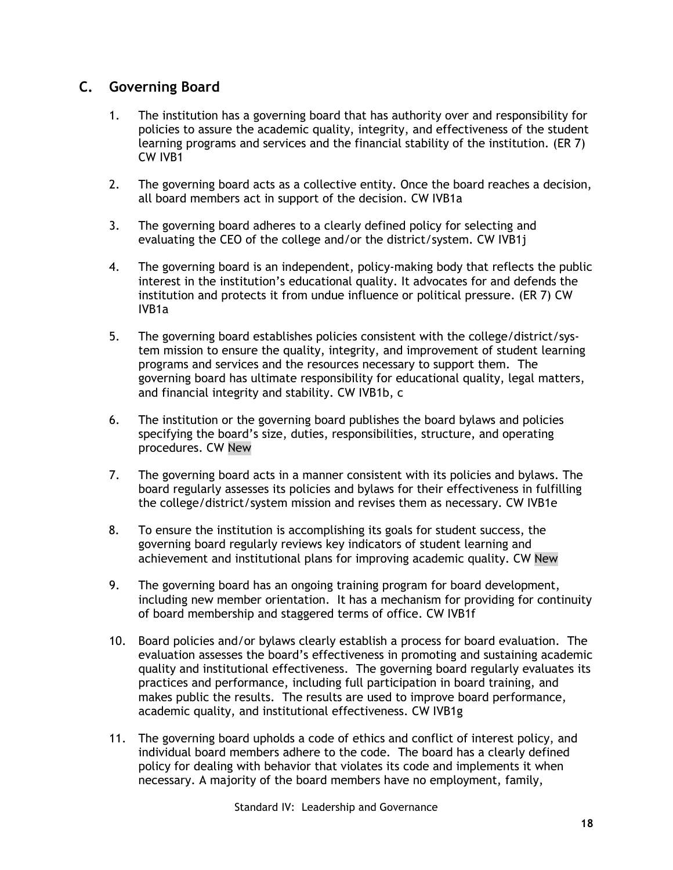## **C. Governing Board**

- 1. The institution has a governing board that has authority over and responsibility for policies to assure the academic quality, integrity, and effectiveness of the student learning programs and services and the financial stability of the institution. (ER 7) CW IVB1
- 2. The governing board acts as a collective entity. Once the board reaches a decision, all board members act in support of the decision. CW IVB1a
- 3. The governing board adheres to a clearly defined policy for selecting and evaluating the CEO of the college and/or the district/system. CW IVB1j
- 4. The governing board is an independent, policy-making body that reflects the public interest in the institution's educational quality. It advocates for and defends the institution and protects it from undue influence or political pressure. (ER 7) CW IVB1a
- 5. The governing board establishes policies consistent with the college/district/system mission to ensure the quality, integrity, and improvement of student learning programs and services and the resources necessary to support them. The governing board has ultimate responsibility for educational quality, legal matters, and financial integrity and stability. CW IVB1b, c
- 6. The institution or the governing board publishes the board bylaws and policies specifying the board's size, duties, responsibilities, structure, and operating procedures. CW New
- 7. The governing board acts in a manner consistent with its policies and bylaws. The board regularly assesses its policies and bylaws for their effectiveness in fulfilling the college/district/system mission and revises them as necessary. CW IVB1e
- 8. To ensure the institution is accomplishing its goals for student success, the governing board regularly reviews key indicators of student learning and achievement and institutional plans for improving academic quality. CW New
- 9. The governing board has an ongoing training program for board development, including new member orientation. It has a mechanism for providing for continuity of board membership and staggered terms of office. CW IVB1f
- 10. Board policies and/or bylaws clearly establish a process for board evaluation. The evaluation assesses the board's effectiveness in promoting and sustaining academic quality and institutional effectiveness. The governing board regularly evaluates its practices and performance, including full participation in board training, and makes public the results. The results are used to improve board performance, academic quality, and institutional effectiveness. CW IVB1g
- 11. The governing board upholds a code of ethics and conflict of interest policy, and individual board members adhere to the code. The board has a clearly defined policy for dealing with behavior that violates its code and implements it when necessary. A majority of the board members have no employment, family,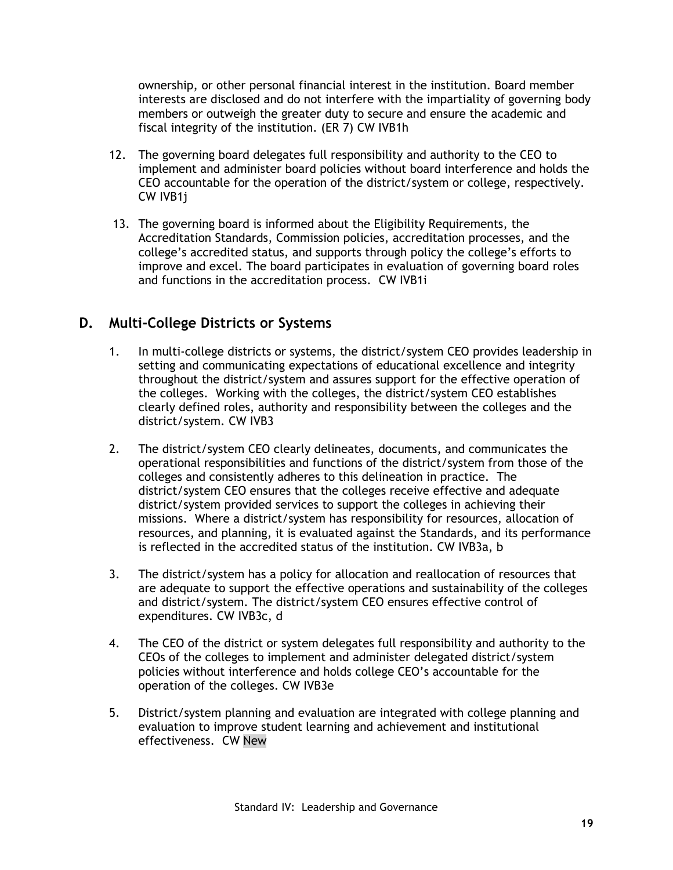ownership, or other personal financial interest in the institution. Board member interests are disclosed and do not interfere with the impartiality of governing body members or outweigh the greater duty to secure and ensure the academic and fiscal integrity of the institution. (ER 7) CW IVB1h

- 12. The governing board delegates full responsibility and authority to the CEO to implement and administer board policies without board interference and holds the CEO accountable for the operation of the district/system or college, respectively. CW IVB1j
- 13. The governing board is informed about the Eligibility Requirements, the Accreditation Standards, Commission policies, accreditation processes, and the college's accredited status, and supports through policy the college's efforts to improve and excel. The board participates in evaluation of governing board roles and functions in the accreditation process. CW IVB1i

## **D. Multi-College Districts or Systems**

- 1. In multi-college districts or systems, the district/system CEO provides leadership in setting and communicating expectations of educational excellence and integrity throughout the district/system and assures support for the effective operation of the colleges. Working with the colleges, the district/system CEO establishes clearly defined roles, authority and responsibility between the colleges and the district/system. CW IVB3
- 2. The district/system CEO clearly delineates, documents, and communicates the operational responsibilities and functions of the district/system from those of the colleges and consistently adheres to this delineation in practice. The district/system CEO ensures that the colleges receive effective and adequate district/system provided services to support the colleges in achieving their missions. Where a district/system has responsibility for resources, allocation of resources, and planning, it is evaluated against the Standards, and its performance is reflected in the accredited status of the institution. CW IVB3a, b
- 3. The district/system has a policy for allocation and reallocation of resources that are adequate to support the effective operations and sustainability of the colleges and district/system. The district/system CEO ensures effective control of expenditures. CW IVB3c, d
- 4. The CEO of the district or system delegates full responsibility and authority to the CEOs of the colleges to implement and administer delegated district/system policies without interference and holds college CEO's accountable for the operation of the colleges. CW IVB3e
- 5. District/system planning and evaluation are integrated with college planning and evaluation to improve student learning and achievement and institutional effectiveness. CW New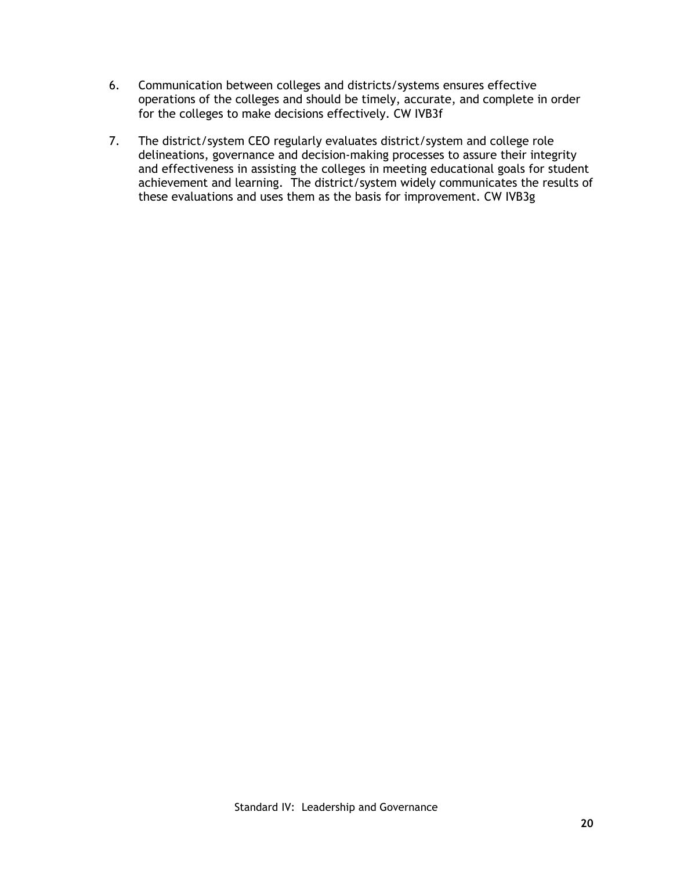- 6. Communication between colleges and districts/systems ensures effective operations of the colleges and should be timely, accurate, and complete in order for the colleges to make decisions effectively. CW IVB3f
- 7. The district/system CEO regularly evaluates district/system and college role delineations, governance and decision-making processes to assure their integrity and effectiveness in assisting the colleges in meeting educational goals for student achievement and learning. The district/system widely communicates the results of these evaluations and uses them as the basis for improvement. CW IVB3g